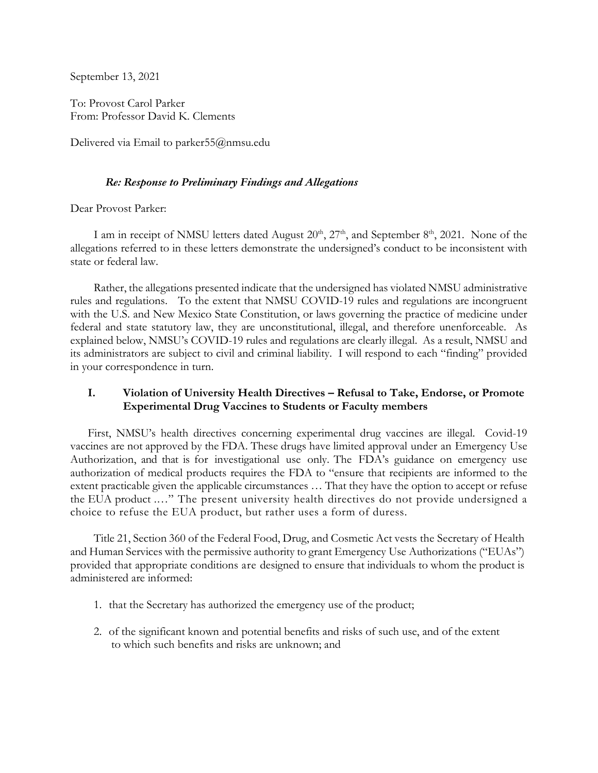September 13, 2021

To: Provost Carol Parker From: Professor David K. Clements

Delivered via Email to parker 55@nmsu.edu

## *Re: Response to Preliminary Findings and Allegations*

Dear Provost Parker:

I am in receipt of NMSU letters dated August  $20^{th}$ ,  $27^{th}$ , and September  $8^{th}$ , 2021. None of the allegations referred to in these letters demonstrate the undersigned's conduct to be inconsistent with state or federal law.

 Rather, the allegations presented indicate that the undersigned has violated NMSU administrative rules and regulations. To the extent that NMSU COVID-19 rules and regulations are incongruent with the U.S. and New Mexico State Constitution, or laws governing the practice of medicine under federal and state statutory law, they are unconstitutional, illegal, and therefore unenforceable. As explained below, NMSU's COVID-19 rules and regulations are clearly illegal. As a result, NMSU and its administrators are subject to civil and criminal liability. I will respond to each "finding" provided in your correspondence in turn.

# **I. Violation of University Health Directives – Refusal to Take, Endorse, or Promote Experimental Drug Vaccines to Students or Faculty members**

First, NMSU's health directives concerning experimental drug vaccines are illegal. Covid-19 vaccines are not approved by the FDA. These drugs have limited approval under an Emergency Use Authorization, and that is for investigational use only. The FDA's guidance on emergency use authorization of medical products requires the FDA to "ensure that recipients are informed to the extent practicable given the applicable circumstances … That they have the option to accept or refuse the EUA product .…" The present university health directives do not provide undersigned a choice to refuse the EUA product, but rather uses a form of duress.

Title 21, Section 360 of the Federal Food, Drug, and Cosmetic Act vests the Secretary of Health and Human Services with the permissive authority to grant Emergency Use Authorizations ("EUAs") provided that appropriate conditions are designed to ensure that individuals to whom the product is administered are informed:

- 1. that the Secretary has authorized the emergency use of the product;
- 2. of the significant known and potential benefits and risks of such use, and of the extent to which such benefits and risks are unknown; and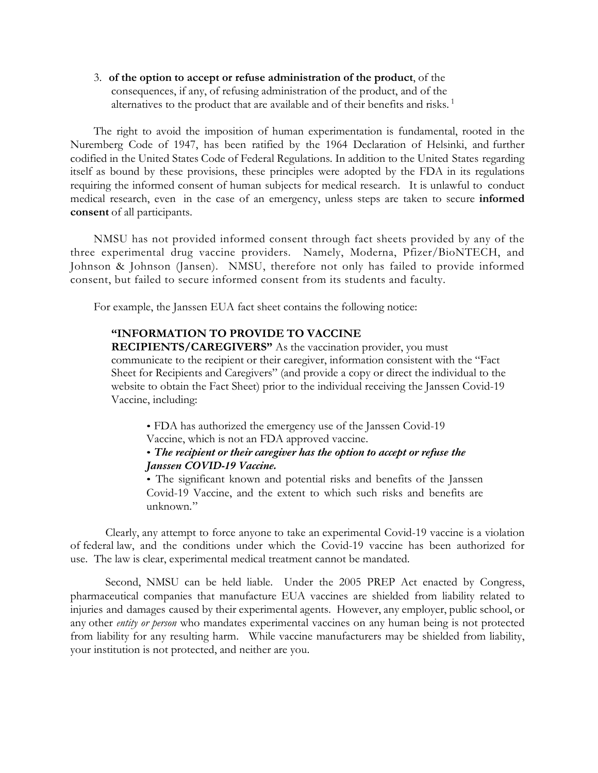3. **of the option to accept or refuse administration of the product**, of the consequences, if any, of refusing administration of the product, and of the alternatives to the product that are available and of their benefits and risks.<sup>1</sup>

The right to avoid the imposition of human experimentation is fundamental, rooted in the Nuremberg Code of 1947, has been ratified by the 1964 Declaration of Helsinki, and further codified in the United States Code of Federal Regulations. In addition to the United States regarding itself as bound by these provisions, these principles were adopted by the FDA in its regulations requiring the informed consent of human subjects for medical research. It is unlawful to conduct medical research, even in the case of an emergency, unless steps are taken to secure **informed consent** of all participants.

NMSU has not provided informed consent through fact sheets provided by any of the three experimental drug vaccine providers. Namely, Moderna, Pfizer/BioNTECH, and Johnson & Johnson (Jansen). NMSU, therefore not only has failed to provide informed consent, but failed to secure informed consent from its students and faculty.

For example, the Janssen EUA fact sheet contains the following notice:

#### **"INFORMATION TO PROVIDE TO VACCINE**

**RECIPIENTS/CAREGIVERS"** As the vaccination provider, you must communicate to the recipient or their caregiver, information consistent with the "Fact Sheet for Recipients and Caregivers" (and provide a copy or direct the individual to the website to obtain the Fact Sheet) prior to the individual receiving the Janssen Covid-19 Vaccine, including:

• FDA has authorized the emergency use of the Janssen Covid-19 Vaccine, which is not an FDA approved vaccine.

#### • *The recipient or their caregiver has the option to accept or refuse the Janssen COVID-19 Vaccine.*

• The significant known and potential risks and benefits of the Janssen Covid-19 Vaccine, and the extent to which such risks and benefits are unknown."

Clearly, any attempt to force anyone to take an experimental Covid-19 vaccine is a violation of federal law, and the conditions under which the Covid-19 vaccine has been authorized for use. The law is clear, experimental medical treatment cannot be mandated.

Second, NMSU can be held liable. Under the 2005 PREP Act enacted by Congress, pharmaceutical companies that manufacture EUA vaccines are shielded from liability related to injuries and damages caused by their experimental agents. However, any employer, public school, or any other *entity or person* who mandates experimental vaccines on any human being is not protected from liability for any resulting harm. While vaccine manufacturers may be shielded from liability, your institution is not protected, and neither are you.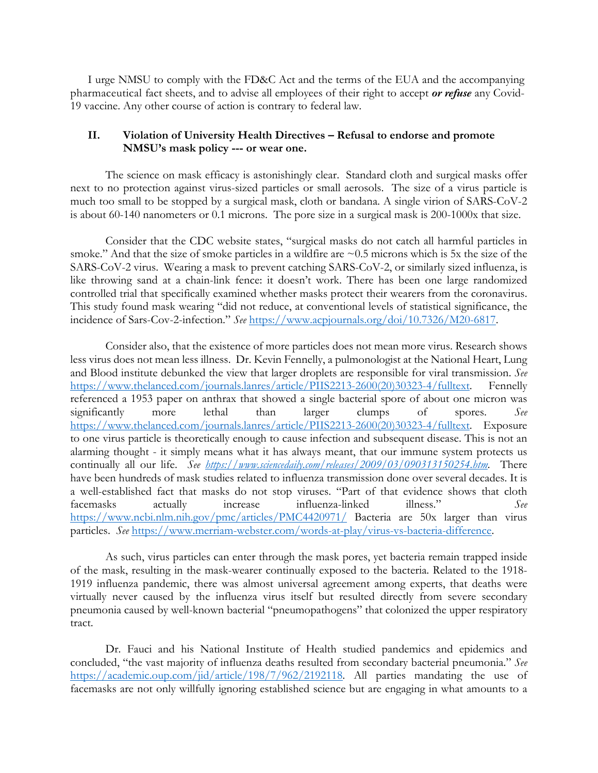I urge NMSU to comply with the FD&C Act and the terms of the EUA and the accompanying pharmaceutical fact sheets, and to advise all employees of their right to accept *or refuse* any Covid-19 vaccine. Any other course of action is contrary to federal law.

## **II. Violation of University Health Directives – Refusal to endorse and promote NMSU's mask policy --- or wear one.**

The science on mask efficacy is astonishingly clear. Standard cloth and surgical masks offer next to no protection against virus-sized particles or small aerosols. The size of a virus particle is much too small to be stopped by a surgical mask, cloth or bandana. A single virion of SARS-CoV-2 is about 60-140 nanometers or 0.1 microns. The pore size in a surgical mask is 200-1000x that size.

Consider that the CDC website states, "surgical masks do not catch all harmful particles in smoke." And that the size of smoke particles in a wildfire are  $\sim 0.5$  microns which is 5x the size of the SARS-CoV-2 virus. Wearing a mask to prevent catching SARS-CoV-2, or similarly sized influenza, is like throwing sand at a chain-link fence: it doesn't work. There has been one large randomized controlled trial that specifically examined whether masks protect their wearers from the coronavirus. This study found mask wearing "did not reduce, at conventional levels of statistical significance, the incidence of Sars-Cov-2-infection." *See* https://www.acpjournals.org/doi/10.7326/M20-6817.

Consider also, that the existence of more particles does not mean more virus. Research shows less virus does not mean less illness. Dr. Kevin Fennelly, a pulmonologist at the National Heart, Lung and Blood institute debunked the view that larger droplets are responsible for viral transmission. *See*  https://www.thelanced.com/journals.lanres/article/PIIS2213-2600(20)30323-4/fulltext. Fennelly referenced a 1953 paper on anthrax that showed a single bacterial spore of about one micron was significantly more lethal than larger clumps of spores. *See*  https://www.thelanced.com/journals.lanres/article/PIIS2213-2600(20)30323-4/fulltext. Exposure to one virus particle is theoretically enough to cause infection and subsequent disease. This is not an alarming thought - it simply means what it has always meant, that our immune system protects us continually all our life. *See https://www.sciencedaily.com/releases/2009/03/090313150254.htm.* There have been hundreds of mask studies related to influenza transmission done over several decades. It is a well-established fact that masks do not stop viruses. "Part of that evidence shows that cloth facemasks actually increase influenza-linked illness." *See* https://www.ncbi.nlm.nih.gov/pmc/articles/PMC4420971/ Bacteria are 50x larger than virus particles. *See* https://www.merriam-webster.com/words-at-play/virus-vs-bacteria-difference.

As such, virus particles can enter through the mask pores, yet bacteria remain trapped inside of the mask, resulting in the mask-wearer continually exposed to the bacteria. Related to the 1918- 1919 influenza pandemic, there was almost universal agreement among experts, that deaths were virtually never caused by the influenza virus itself but resulted directly from severe secondary pneumonia caused by well-known bacterial "pneumopathogens" that colonized the upper respiratory tract.

Dr. Fauci and his National Institute of Health studied pandemics and epidemics and concluded, "the vast majority of influenza deaths resulted from secondary bacterial pneumonia." *See*  https://academic.oup.com/jid/article/198/7/962/2192118. All parties mandating the use of facemasks are not only willfully ignoring established science but are engaging in what amounts to a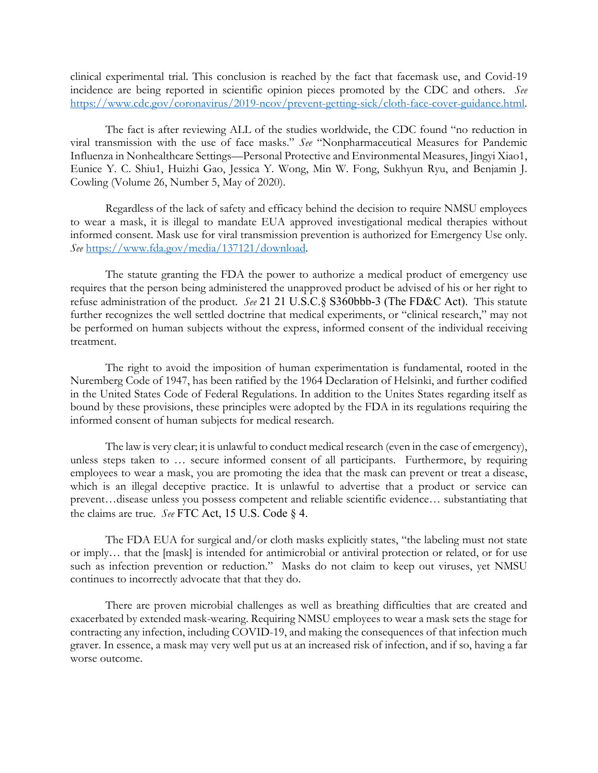clinical experimental trial. This conclusion is reached by the fact that facemask use, and Covid-19 incidence are being reported in scientific opinion pieces promoted by the CDC and others. *See* https://www.cdc.gov/coronavirus/2019-ncov/prevent-getting-sick/cloth-face-cover-guidance.html.

The fact is after reviewing ALL of the studies worldwide, the CDC found "no reduction in viral transmission with the use of face masks." *See* "Nonpharmaceutical Measures for Pandemic Influenza in Nonhealthcare Settings—Personal Protective and Environmental Measures, Jingyi Xiao1, Eunice Y. C. Shiu1, Huizhi Gao, Jessica Y. Wong, Min W. Fong, Sukhyun Ryu, and Benjamin J. Cowling (Volume 26, Number 5, May of 2020).

Regardless of the lack of safety and efficacy behind the decision to require NMSU employees to wear a mask, it is illegal to mandate EUA approved investigational medical therapies without informed consent. Mask use for viral transmission prevention is authorized for Emergency Use only. *See* https://www.fda.gov/media/137121/download.

The statute granting the FDA the power to authorize a medical product of emergency use requires that the person being administered the unapproved product be advised of his or her right to refuse administration of the product. *See* 21 21 U.S.C.§ S360bbb-3 (The FD&C Act). This statute further recognizes the well settled doctrine that medical experiments, or "clinical research," may not be performed on human subjects without the express, informed consent of the individual receiving treatment.

The right to avoid the imposition of human experimentation is fundamental, rooted in the Nuremberg Code of 1947, has been ratified by the 1964 Declaration of Helsinki, and further codified in the United States Code of Federal Regulations. In addition to the Unites States regarding itself as bound by these provisions, these principles were adopted by the FDA in its regulations requiring the informed consent of human subjects for medical research.

The law is very clear; it is unlawful to conduct medical research (even in the case of emergency), unless steps taken to … secure informed consent of all participants. Furthermore, by requiring employees to wear a mask, you are promoting the idea that the mask can prevent or treat a disease, which is an illegal deceptive practice. It is unlawful to advertise that a product or service can prevent…disease unless you possess competent and reliable scientific evidence… substantiating that the claims are true. *See* FTC Act, 15 U.S. Code § 4.

The FDA EUA for surgical and/or cloth masks explicitly states, "the labeling must not state or imply… that the [mask] is intended for antimicrobial or antiviral protection or related, or for use such as infection prevention or reduction." Masks do not claim to keep out viruses, yet NMSU continues to incorrectly advocate that that they do.

There are proven microbial challenges as well as breathing difficulties that are created and exacerbated by extended mask-wearing. Requiring NMSU employees to wear a mask sets the stage for contracting any infection, including COVID-19, and making the consequences of that infection much graver. In essence, a mask may very well put us at an increased risk of infection, and if so, having a far worse outcome.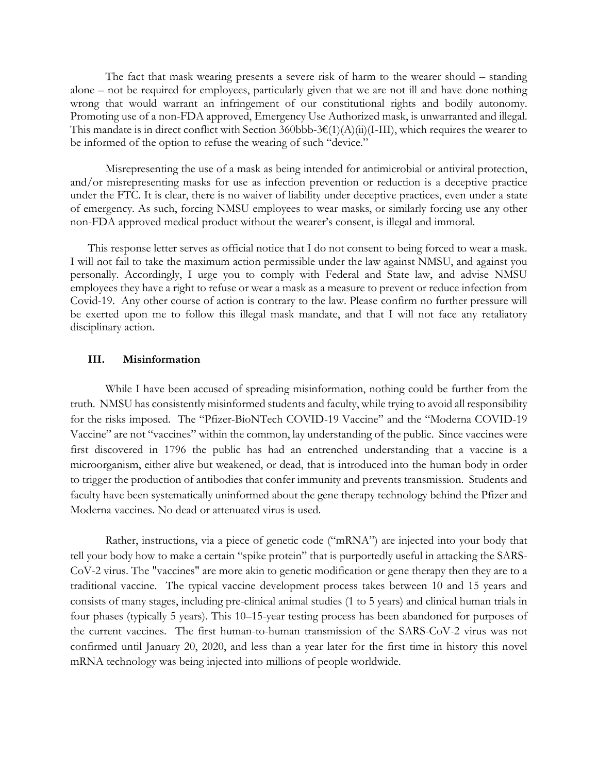The fact that mask wearing presents a severe risk of harm to the wearer should – standing alone – not be required for employees, particularly given that we are not ill and have done nothing wrong that would warrant an infringement of our constitutional rights and bodily autonomy. Promoting use of a non-FDA approved, Emergency Use Authorized mask, is unwarranted and illegal. This mandate is in direct conflict with Section 360bbb-3€(1)(A)(ii)(I-III), which requires the wearer to be informed of the option to refuse the wearing of such "device."

Misrepresenting the use of a mask as being intended for antimicrobial or antiviral protection, and/or misrepresenting masks for use as infection prevention or reduction is a deceptive practice under the FTC. It is clear, there is no waiver of liability under deceptive practices, even under a state of emergency. As such, forcing NMSU employees to wear masks, or similarly forcing use any other non-FDA approved medical product without the wearer's consent, is illegal and immoral.

This response letter serves as official notice that I do not consent to being forced to wear a mask. I will not fail to take the maximum action permissible under the law against NMSU, and against you personally. Accordingly, I urge you to comply with Federal and State law, and advise NMSU employees they have a right to refuse or wear a mask as a measure to prevent or reduce infection from Covid-19. Any other course of action is contrary to the law. Please confirm no further pressure will be exerted upon me to follow this illegal mask mandate, and that I will not face any retaliatory disciplinary action.

#### **III. Misinformation**

While I have been accused of spreading misinformation, nothing could be further from the truth. NMSU has consistently misinformed students and faculty, while trying to avoid all responsibility for the risks imposed. The "Pfizer-BioNTech COVID-19 Vaccine" and the "Moderna COVID-19 Vaccine" are not "vaccines" within the common, lay understanding of the public. Since vaccines were first discovered in 1796 the public has had an entrenched understanding that a vaccine is a microorganism, either alive but weakened, or dead, that is introduced into the human body in order to trigger the production of antibodies that confer immunity and prevents transmission. Students and faculty have been systematically uninformed about the gene therapy technology behind the Pfizer and Moderna vaccines. No dead or attenuated virus is used.

Rather, instructions, via a piece of genetic code ("mRNA") are injected into your body that tell your body how to make a certain "spike protein" that is purportedly useful in attacking the SARS-CoV-2 virus. The "vaccines" are more akin to genetic modification or gene therapy then they are to a traditional vaccine. The typical vaccine development process takes between 10 and 15 years and consists of many stages, including pre-clinical animal studies (1 to 5 years) and clinical human trials in four phases (typically 5 years). This 10–15-year testing process has been abandoned for purposes of the current vaccines. The first human-to-human transmission of the SARS-CoV-2 virus was not confirmed until January 20, 2020, and less than a year later for the first time in history this novel mRNA technology was being injected into millions of people worldwide.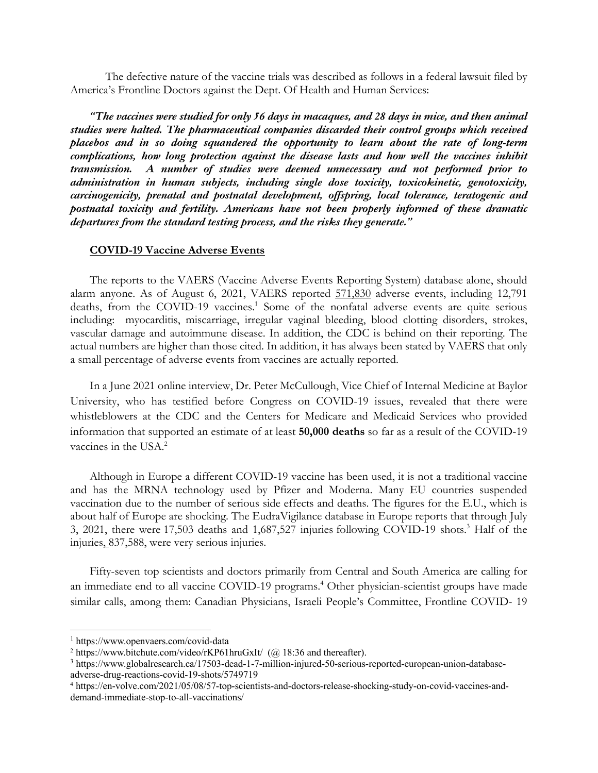The defective nature of the vaccine trials was described as follows in a federal lawsuit filed by America's Frontline Doctors against the Dept. Of Health and Human Services:

*"The vaccines were studied for only 56 days in macaques, and 28 days in mice, and then animal studies were halted. The pharmaceutical companies discarded their control groups which received placebos and in so doing squandered the opportunity to learn about the rate of long-term complications, how long protection against the disease lasts and how well the vaccines inhibit transmission. A number of studies were deemed unnecessary and not performed prior to administration in human subjects, including single dose toxicity, toxicokinetic, genotoxicity, carcinogenicity, prenatal and postnatal development, offspring, local tolerance, teratogenic and postnatal toxicity and fertility. Americans have not been properly informed of these dramatic departures from the standard testing process, and the risks they generate."* 

#### **COVID-19 Vaccine Adverse Events**

The reports to the VAERS (Vaccine Adverse Events Reporting System) database alone, should alarm anyone. As of August 6, 2021, VAERS reported 571,830 adverse events, including 12,791 deaths, from the COVID-19 vaccines.<sup>1</sup> Some of the nonfatal adverse events are quite serious including: myocarditis, miscarriage, irregular vaginal bleeding, blood clotting disorders, strokes, vascular damage and autoimmune disease. In addition, the CDC is behind on their reporting. The actual numbers are higher than those cited. In addition, it has always been stated by VAERS that only a small percentage of adverse events from vaccines are actually reported.

In a June 2021 online interview, Dr. Peter McCullough, Vice Chief of Internal Medicine at Baylor University, who has testified before Congress on COVID-19 issues, revealed that there were whistleblowers at the CDC and the Centers for Medicare and Medicaid Services who provided information that supported an estimate of at least **50,000 deaths** so far as a result of the COVID-19 vaccines in the USA.<sup>2</sup>

Although in Europe a different COVID-19 vaccine has been used, it is not a traditional vaccine and has the MRNA technology used by Pfizer and Moderna. Many EU countries suspended vaccination due to the number of serious side effects and deaths. The figures for the E.U., which is about half of Europe are shocking. The EudraVigilance database in Europe reports that through July 3, 2021, there were 17,503 deaths and 1,687,527 injuries following COVID-19 shots.3 Half of the injuries, 837,588, were very serious injuries.

Fifty-seven top scientists and doctors primarily from Central and South America are calling for an immediate end to all vaccine COVID-19 programs.<sup>4</sup> Other physician-scientist groups have made similar calls, among them: Canadian Physicians, Israeli People's Committee, Frontline COVID- 19

<sup>1</sup> https://www.openvaers.com/covid-data

<sup>&</sup>lt;sup>2</sup> https://www.bitchute.com/video/rKP61hruGxIt/ (@ 18:36 and thereafter).

<sup>3</sup> https://www.globalresearch.ca/17503-dead-1-7-million-injured-50-serious-reported-european-union-databaseadverse-drug-reactions-covid-19-shots/5749719

<sup>4</sup> https://en-volve.com/2021/05/08/57-top-scientists-and-doctors-release-shocking-study-on-covid-vaccines-anddemand-immediate-stop-to-all-vaccinations/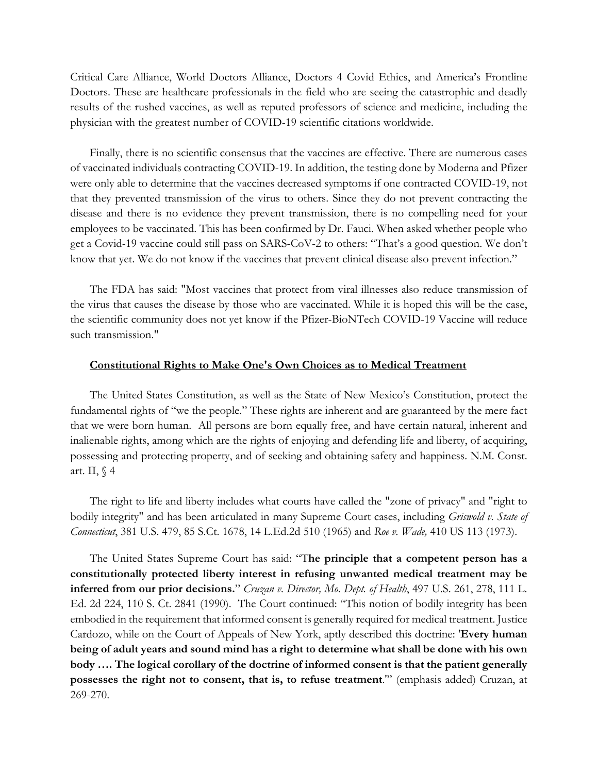Critical Care Alliance, World Doctors Alliance, Doctors 4 Covid Ethics, and America's Frontline Doctors. These are healthcare professionals in the field who are seeing the catastrophic and deadly results of the rushed vaccines, as well as reputed professors of science and medicine, including the physician with the greatest number of COVID-19 scientific citations worldwide.

Finally, there is no scientific consensus that the vaccines are effective. There are numerous cases of vaccinated individuals contracting COVID-19. In addition, the testing done by Moderna and Pfizer were only able to determine that the vaccines decreased symptoms if one contracted COVID-19, not that they prevented transmission of the virus to others. Since they do not prevent contracting the disease and there is no evidence they prevent transmission, there is no compelling need for your employees to be vaccinated. This has been confirmed by Dr. Fauci. When asked whether people who get a Covid-19 vaccine could still pass on SARS-CoV-2 to others: "That's a good question. We don't know that yet. We do not know if the vaccines that prevent clinical disease also prevent infection."

The FDA has said: "Most vaccines that protect from viral illnesses also reduce transmission of the virus that causes the disease by those who are vaccinated. While it is hoped this will be the case, the scientific community does not yet know if the Pfizer-BioNTech COVID-19 Vaccine will reduce such transmission."

## **Constitutional Rights to Make One's Own Choices as to Medical Treatment**

The United States Constitution, as well as the State of New Mexico's Constitution, protect the fundamental rights of "we the people." These rights are inherent and are guaranteed by the mere fact that we were born human. All persons are born equally free, and have certain natural, inherent and inalienable rights, among which are the rights of enjoying and defending life and liberty, of acquiring, possessing and protecting property, and of seeking and obtaining safety and happiness. N.M. Const. art. II,  $\sqrt{4}$ 

The right to life and liberty includes what courts have called the "zone of privacy" and "right to bodily integrity" and has been articulated in many Supreme Court cases, including *Griswold v. State of Connecticut*, 381 U.S. 479, 85 S.Ct. 1678, 14 L.Ed.2d 510 (1965) and *Roe v. Wade,* 410 US 113 (1973).

The United States Supreme Court has said: "T**he principle that a competent person has a constitutionally protected liberty interest in refusing unwanted medical treatment may be inferred from our prior decisions.**" *Cruzan v. Director, Mo. Dept. of Health*, 497 U.S. 261, 278, 111 L. Ed. 2d 224, 110 S. Ct. 2841 (1990). The Court continued: "This notion of bodily integrity has been embodied in the requirement that informed consent is generally required for medical treatment. Justice Cardozo, while on the Court of Appeals of New York, aptly described this doctrine: '**Every human being of adult years and sound mind has a right to determine what shall be done with his own body …. The logical corollary of the doctrine of informed consent is that the patient generally possesses the right not to consent, that is, to refuse treatment**.'" (emphasis added) Cruzan, at 269-270.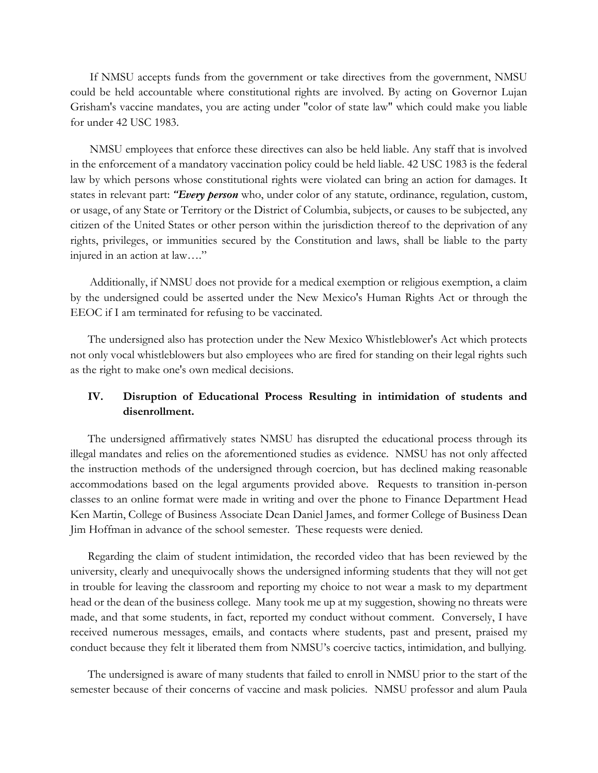If NMSU accepts funds from the government or take directives from the government, NMSU could be held accountable where constitutional rights are involved. By acting on Governor Lujan Grisham's vaccine mandates, you are acting under "color of state law" which could make you liable for under 42 USC 1983.

NMSU employees that enforce these directives can also be held liable. Any staff that is involved in the enforcement of a mandatory vaccination policy could be held liable. 42 USC 1983 is the federal law by which persons whose constitutional rights were violated can bring an action for damages. It states in relevant part: *"Every person* who, under color of any statute, ordinance, regulation, custom, or usage, of any State or Territory or the District of Columbia, subjects, or causes to be subjected, any citizen of the United States or other person within the jurisdiction thereof to the deprivation of any rights, privileges, or immunities secured by the Constitution and laws, shall be liable to the party injured in an action at law…."

Additionally, if NMSU does not provide for a medical exemption or religious exemption, a claim by the undersigned could be asserted under the New Mexico's Human Rights Act or through the EEOC if I am terminated for refusing to be vaccinated.

The undersigned also has protection under the New Mexico Whistleblower's Act which protects not only vocal whistleblowers but also employees who are fired for standing on their legal rights such as the right to make one's own medical decisions.

# **IV. Disruption of Educational Process Resulting in intimidation of students and disenrollment.**

The undersigned affirmatively states NMSU has disrupted the educational process through its illegal mandates and relies on the aforementioned studies as evidence. NMSU has not only affected the instruction methods of the undersigned through coercion, but has declined making reasonable accommodations based on the legal arguments provided above. Requests to transition in-person classes to an online format were made in writing and over the phone to Finance Department Head Ken Martin, College of Business Associate Dean Daniel James, and former College of Business Dean Jim Hoffman in advance of the school semester. These requests were denied.

Regarding the claim of student intimidation, the recorded video that has been reviewed by the university, clearly and unequivocally shows the undersigned informing students that they will not get in trouble for leaving the classroom and reporting my choice to not wear a mask to my department head or the dean of the business college. Many took me up at my suggestion, showing no threats were made, and that some students, in fact, reported my conduct without comment. Conversely, I have received numerous messages, emails, and contacts where students, past and present, praised my conduct because they felt it liberated them from NMSU's coercive tactics, intimidation, and bullying.

The undersigned is aware of many students that failed to enroll in NMSU prior to the start of the semester because of their concerns of vaccine and mask policies. NMSU professor and alum Paula